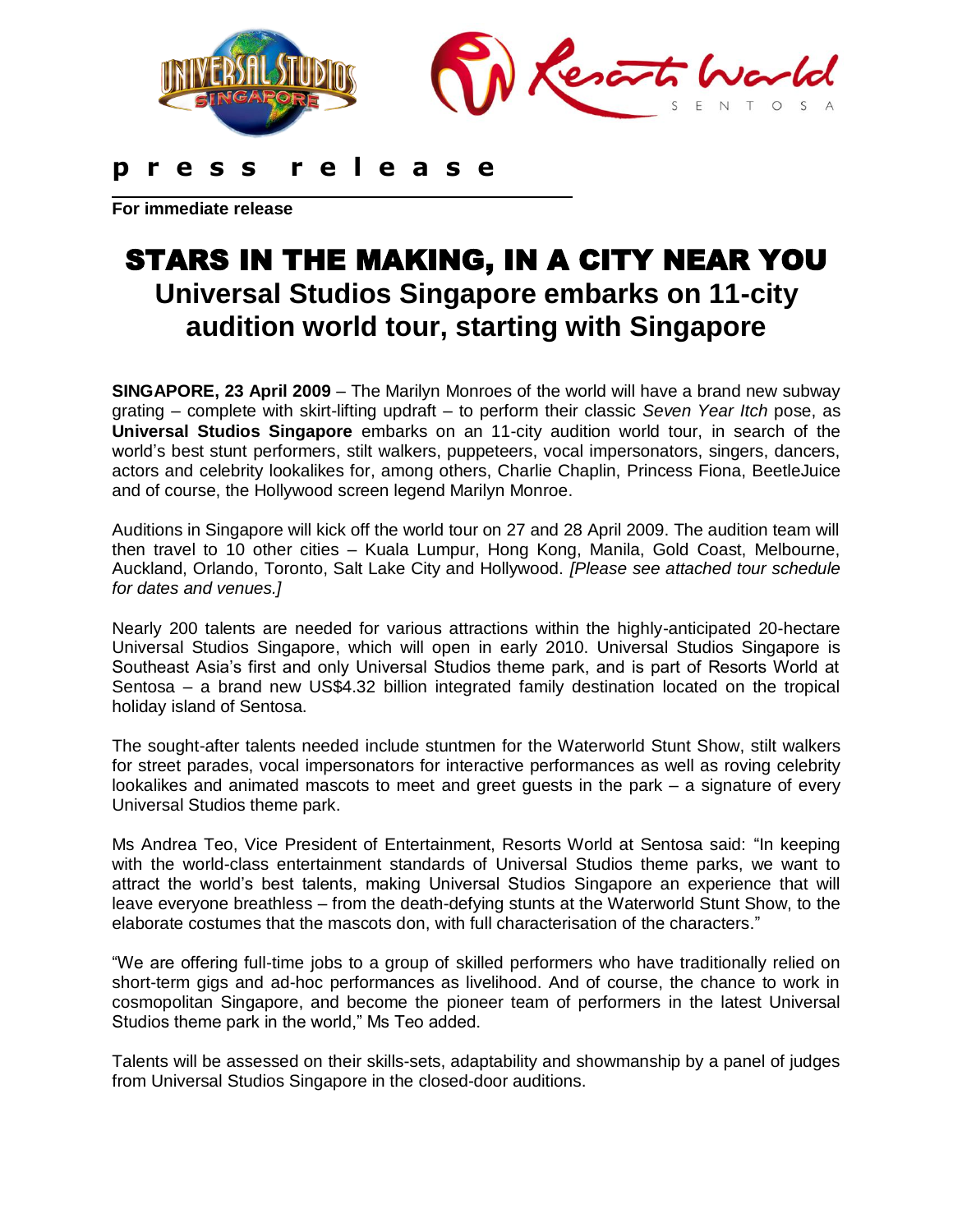

**For immediate release**

## STARS IN THE MAKING, IN A CITY NEAR YOU **Universal Studios Singapore embarks on 11-city audition world tour, starting with Singapore**

**SINGAPORE, 23 April 2009** – The Marilyn Monroes of the world will have a brand new subway grating – complete with skirt-lifting updraft – to perform their classic *Seven Year Itch* pose, as **Universal Studios Singapore** embarks on an 11-city audition world tour, in search of the world"s best stunt performers, stilt walkers, puppeteers, vocal impersonators, singers, dancers, actors and celebrity lookalikes for, among others, Charlie Chaplin, Princess Fiona, BeetleJuice and of course, the Hollywood screen legend Marilyn Monroe.

Auditions in Singapore will kick off the world tour on 27 and 28 April 2009. The audition team will then travel to 10 other cities – Kuala Lumpur, Hong Kong, Manila, Gold Coast, Melbourne, Auckland, Orlando, Toronto, Salt Lake City and Hollywood. *[Please see attached tour schedule for dates and venues.]*

Nearly 200 talents are needed for various attractions within the highly-anticipated 20-hectare Universal Studios Singapore, which will open in early 2010. Universal Studios Singapore is Southeast Asia"s first and only Universal Studios theme park, and is part of Resorts World at Sentosa – a brand new US\$4.32 billion integrated family destination located on the tropical holiday island of Sentosa.

The sought-after talents needed include stuntmen for the Waterworld Stunt Show, stilt walkers for street parades, vocal impersonators for interactive performances as well as roving celebrity lookalikes and animated mascots to meet and greet guests in the park – a signature of every Universal Studios theme park.

Ms Andrea Teo, Vice President of Entertainment, Resorts World at Sentosa said: "In keeping with the world-class entertainment standards of Universal Studios theme parks, we want to attract the world"s best talents, making Universal Studios Singapore an experience that will leave everyone breathless – from the death-defying stunts at the Waterworld Stunt Show, to the elaborate costumes that the mascots don, with full characterisation of the characters."

"We are offering full-time jobs to a group of skilled performers who have traditionally relied on short-term gigs and ad-hoc performances as livelihood. And of course, the chance to work in cosmopolitan Singapore, and become the pioneer team of performers in the latest Universal Studios theme park in the world," Ms Teo added.

Talents will be assessed on their skills-sets, adaptability and showmanship by a panel of judges from Universal Studios Singapore in the closed-door auditions.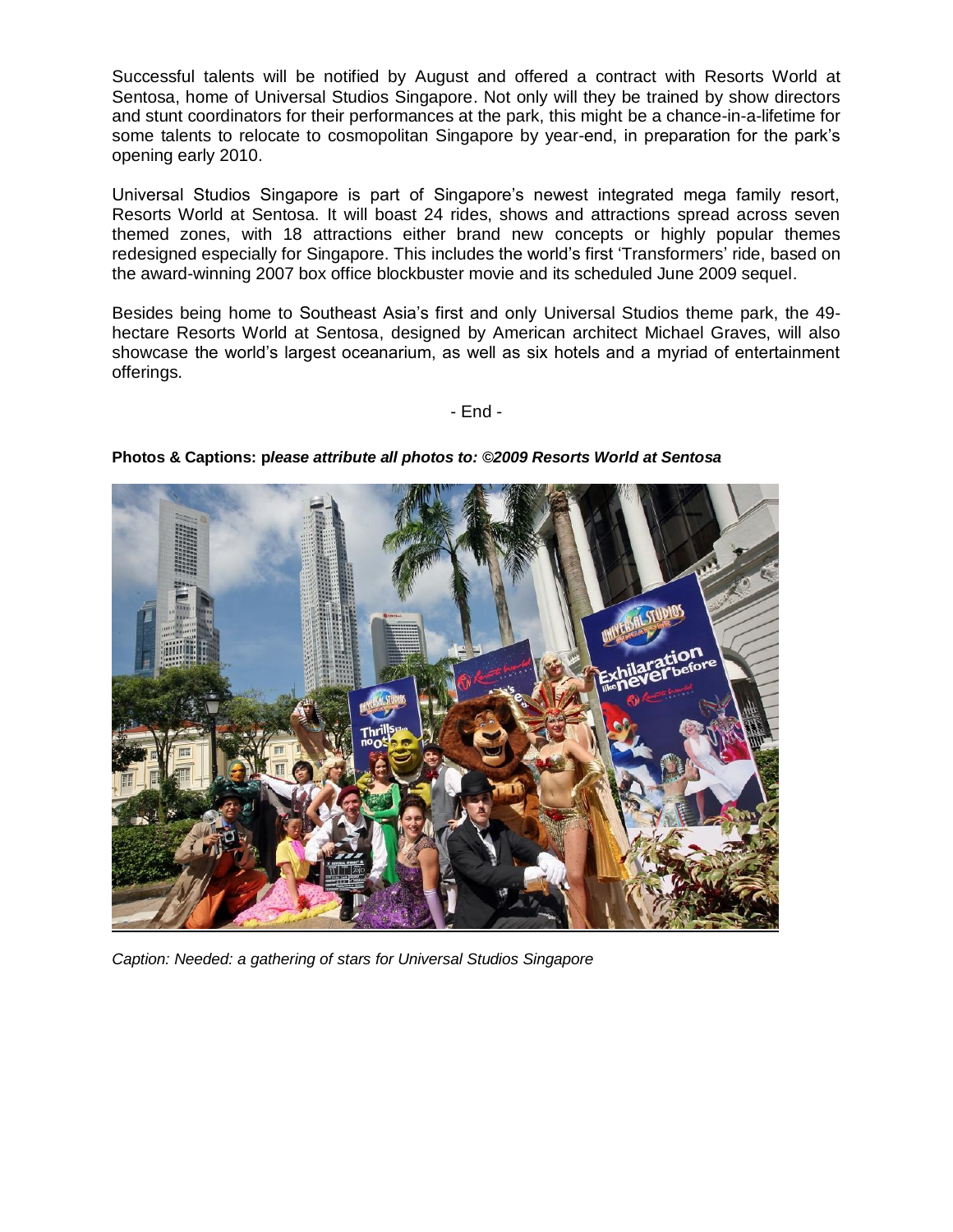Successful talents will be notified by August and offered a contract with Resorts World at Sentosa, home of Universal Studios Singapore. Not only will they be trained by show directors and stunt coordinators for their performances at the park, this might be a chance-in-a-lifetime for some talents to relocate to cosmopolitan Singapore by year-end, in preparation for the park's opening early 2010.

Universal Studios Singapore is part of Singapore"s newest integrated mega family resort, Resorts World at Sentosa. It will boast 24 rides, shows and attractions spread across seven themed zones, with 18 attractions either brand new concepts or highly popular themes redesigned especially for Singapore. This includes the world"s first "Transformers" ride, based on the award-winning 2007 box office blockbuster movie and its scheduled June 2009 sequel.

Besides being home to Southeast Asia"s first and only Universal Studios theme park, the 49 hectare Resorts World at Sentosa, designed by American architect Michael Graves, will also showcase the world"s largest oceanarium, as well as six hotels and a myriad of entertainment offerings.

- End -



**Photos & Captions: p***lease attribute all photos to: ©2009 Resorts World at Sentosa*

*Caption: Needed: a gathering of stars for Universal Studios Singapore*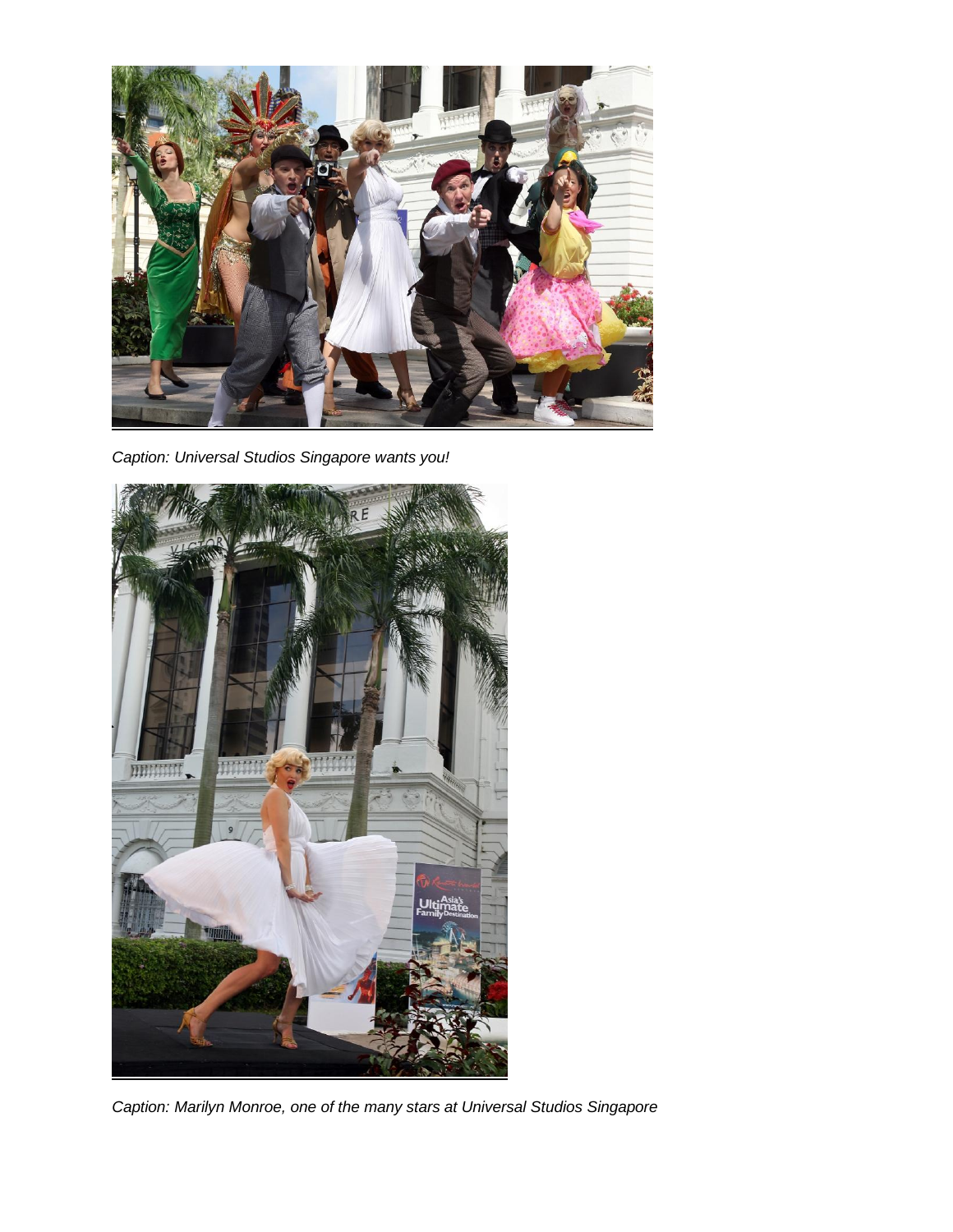

*Caption: Universal Studios Singapore wants you!*



*Caption: Marilyn Monroe, one of the many stars at Universal Studios Singapore*